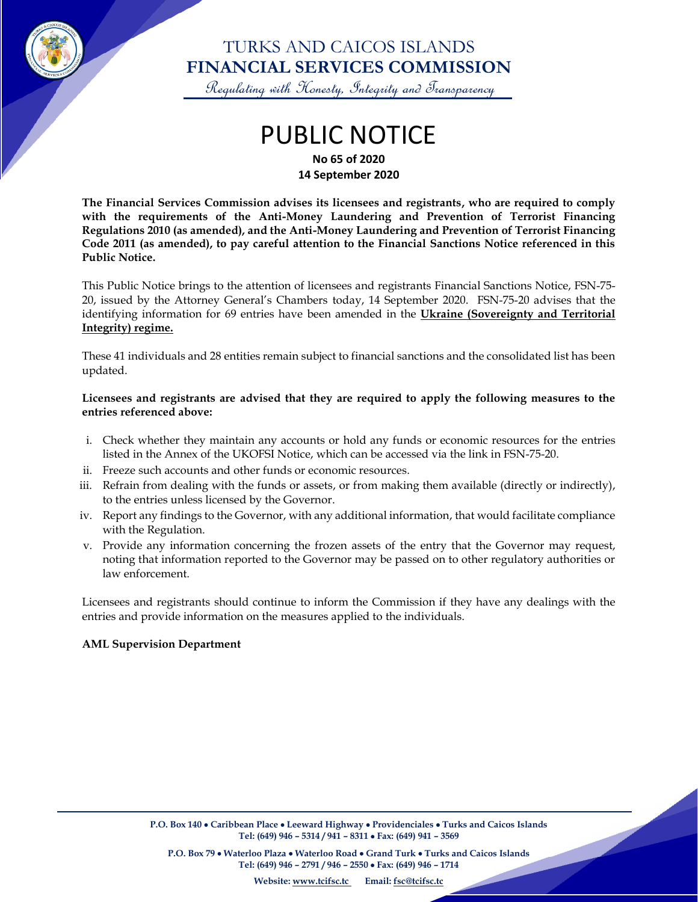

### TURKS AND CAICOS ISLANDS **FINANCIAL SERVICES COMMISSION**

Regulating with Honesty, Integrity and Transparency

# PUBLIC NOTICE

**No 65 of 2020 14 September 2020**

**The Financial Services Commission advises its licensees and registrants, who are required to comply with the requirements of the Anti-Money Laundering and Prevention of Terrorist Financing Regulations 2010 (as amended), and the Anti-Money Laundering and Prevention of Terrorist Financing Code 2011 (as amended), to pay careful attention to the Financial Sanctions Notice referenced in this Public Notice.**

This Public Notice brings to the attention of licensees and registrants Financial Sanctions Notice, FSN-75- 20, issued by the Attorney General's Chambers today, 14 September 2020. FSN-75-20 advises that the identifying information for 69 entries have been amended in the **Ukraine (Sovereignty and Territorial Integrity) regime.**

These 41 individuals and 28 entities remain subject to financial sanctions and the consolidated list has been updated.

#### **Licensees and registrants are advised that they are required to apply the following measures to the entries referenced above:**

- i. Check whether they maintain any accounts or hold any funds or economic resources for the entries listed in the Annex of the UKOFSI Notice, which can be accessed via the link in FSN-75-20.
- ii. Freeze such accounts and other funds or economic resources.
- iii. Refrain from dealing with the funds or assets, or from making them available (directly or indirectly), to the entries unless licensed by the Governor.
- iv. Report any findings to the Governor, with any additional information, that would facilitate compliance with the Regulation.
- v. Provide any information concerning the frozen assets of the entry that the Governor may request, noting that information reported to the Governor may be passed on to other regulatory authorities or law enforcement.

Licensees and registrants should continue to inform the Commission if they have any dealings with the entries and provide information on the measures applied to the individuals.

#### **AML Supervision Department**

 $\overline{\phantom{a}}$ 

**P.O. Box 79** • **Waterloo Plaza** • **Waterloo Road** • **Grand Turk** • **Turks and Caicos Islands Tel: (649) 946 – 2791 / 946 – 2550** • **Fax: (649) 946 – 1714**